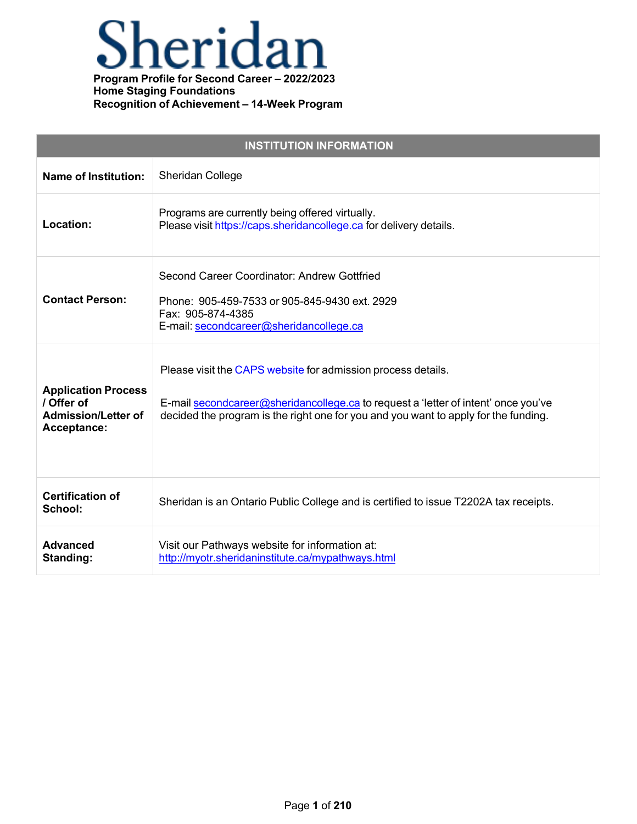### neridan  $\blacktriangle$ **Program Profile for Second Career – 2022/2023**

**Home Staging Foundations Recognition of Achievement – 14-Week Program**

| <b>INSTITUTION INFORMATION</b>                                                        |                                                                                                                                                                                                                                           |  |
|---------------------------------------------------------------------------------------|-------------------------------------------------------------------------------------------------------------------------------------------------------------------------------------------------------------------------------------------|--|
| <b>Name of Institution:</b>                                                           | <b>Sheridan College</b>                                                                                                                                                                                                                   |  |
| Location:                                                                             | Programs are currently being offered virtually.<br>Please visit https://caps.sheridancollege.ca for delivery details.                                                                                                                     |  |
| <b>Contact Person:</b>                                                                | Second Career Coordinator: Andrew Gottfried<br>Phone: 905-459-7533 or 905-845-9430 ext. 2929<br>Fax: 905-874-4385<br>E-mail: secondcareer@sheridancollege.ca                                                                              |  |
| <b>Application Process</b><br>/ Offer of<br><b>Admission/Letter of</b><br>Acceptance: | Please visit the CAPS website for admission process details.<br>E-mail secondcareer@sheridancollege.ca to request a 'letter of intent' once you've<br>decided the program is the right one for you and you want to apply for the funding. |  |
| <b>Certification of</b><br>School:                                                    | Sheridan is an Ontario Public College and is certified to issue T2202A tax receipts.                                                                                                                                                      |  |
| <b>Advanced</b><br>Standing:                                                          | Visit our Pathways website for information at:<br>http://myotr.sheridaninstitute.ca/mypathways.html                                                                                                                                       |  |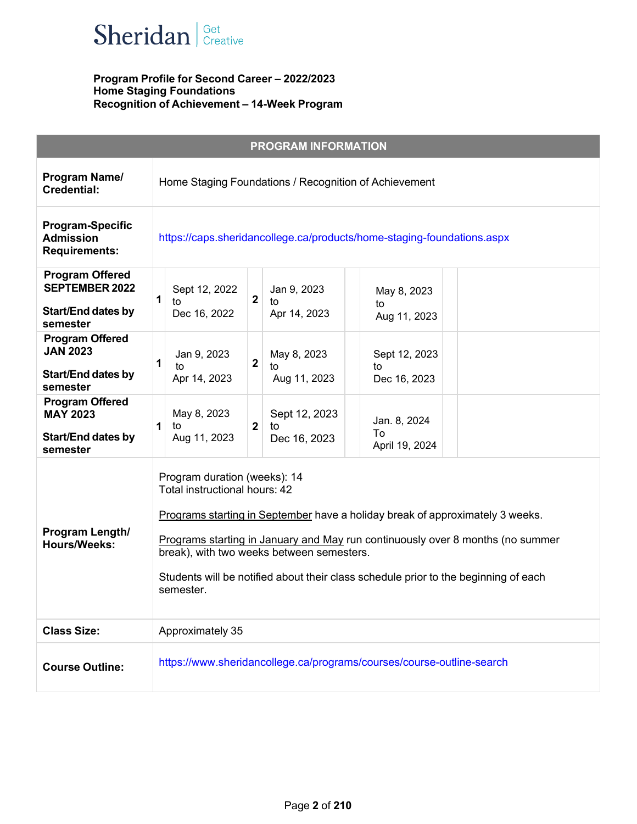

|                                                                                    | <b>PROGRAM INFORMATION</b>                                                                                                                                                                                                                                                                                                                                                        |  |  |
|------------------------------------------------------------------------------------|-----------------------------------------------------------------------------------------------------------------------------------------------------------------------------------------------------------------------------------------------------------------------------------------------------------------------------------------------------------------------------------|--|--|
| Program Name/<br><b>Credential:</b>                                                | Home Staging Foundations / Recognition of Achievement                                                                                                                                                                                                                                                                                                                             |  |  |
| <b>Program-Specific</b><br><b>Admission</b><br><b>Requirements:</b>                | https://caps.sheridancollege.ca/products/home-staging-foundations.aspx                                                                                                                                                                                                                                                                                                            |  |  |
| <b>Program Offered</b><br><b>SEPTEMBER 2022</b><br>Start/End dates by<br>semester  | Sept 12, 2022<br>Jan 9, 2023<br>May 8, 2023<br>$\mathbf{1}$<br>$\overline{2}$<br>to<br>to<br>to<br>Apr 14, 2023<br>Dec 16, 2022<br>Aug 11, 2023                                                                                                                                                                                                                                   |  |  |
| <b>Program Offered</b><br><b>JAN 2023</b><br><b>Start/End dates by</b><br>semester | Jan 9, 2023<br>May 8, 2023<br>Sept 12, 2023<br>$\overline{2}$<br>1<br>to<br>to<br>to<br>Apr 14, 2023<br>Aug 11, 2023<br>Dec 16, 2023                                                                                                                                                                                                                                              |  |  |
| <b>Program Offered</b><br><b>MAY 2023</b><br><b>Start/End dates by</b><br>semester | Sept 12, 2023<br>May 8, 2023<br>Jan. 8, 2024<br>1<br>$\overline{2}$<br>to<br>to<br>To<br>Aug 11, 2023<br>Dec 16, 2023<br>April 19, 2024                                                                                                                                                                                                                                           |  |  |
| Program Length/<br><b>Hours/Weeks:</b>                                             | Program duration (weeks): 14<br>Total instructional hours: 42<br>Programs starting in September have a holiday break of approximately 3 weeks.<br>Programs starting in January and May run continuously over 8 months (no summer<br>break), with two weeks between semesters.<br>Students will be notified about their class schedule prior to the beginning of each<br>semester. |  |  |
| <b>Class Size:</b>                                                                 | Approximately 35                                                                                                                                                                                                                                                                                                                                                                  |  |  |
| <b>Course Outline:</b>                                                             | https://www.sheridancollege.ca/programs/courses/course-outline-search                                                                                                                                                                                                                                                                                                             |  |  |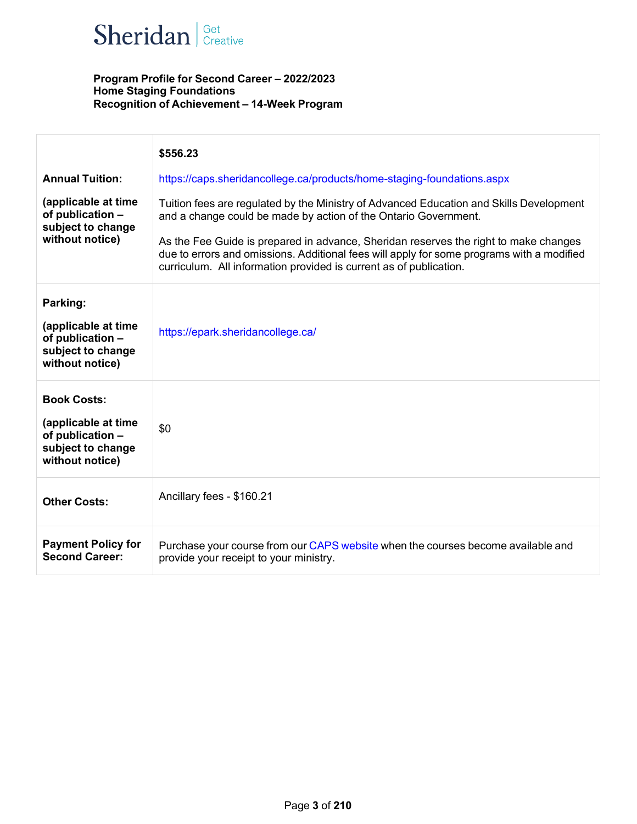# Sheridan | Get Creative

| <b>Annual Tuition:</b><br>(applicable at time<br>of publication -<br>subject to change<br>without notice) | \$556.23<br>https://caps.sheridancollege.ca/products/home-staging-foundations.aspx<br>Tuition fees are regulated by the Ministry of Advanced Education and Skills Development<br>and a change could be made by action of the Ontario Government.<br>As the Fee Guide is prepared in advance, Sheridan reserves the right to make changes<br>due to errors and omissions. Additional fees will apply for some programs with a modified<br>curriculum. All information provided is current as of publication. |
|-----------------------------------------------------------------------------------------------------------|-------------------------------------------------------------------------------------------------------------------------------------------------------------------------------------------------------------------------------------------------------------------------------------------------------------------------------------------------------------------------------------------------------------------------------------------------------------------------------------------------------------|
| Parking:<br>(applicable at time<br>of publication -<br>subject to change<br>without notice)               | https://epark.sheridancollege.ca/                                                                                                                                                                                                                                                                                                                                                                                                                                                                           |
| <b>Book Costs:</b><br>(applicable at time<br>of publication -<br>subject to change<br>without notice)     | \$0                                                                                                                                                                                                                                                                                                                                                                                                                                                                                                         |
| <b>Other Costs:</b>                                                                                       | Ancillary fees - \$160.21                                                                                                                                                                                                                                                                                                                                                                                                                                                                                   |
| <b>Payment Policy for</b><br><b>Second Career:</b>                                                        | Purchase your course from our CAPS website when the courses become available and<br>provide your receipt to your ministry.                                                                                                                                                                                                                                                                                                                                                                                  |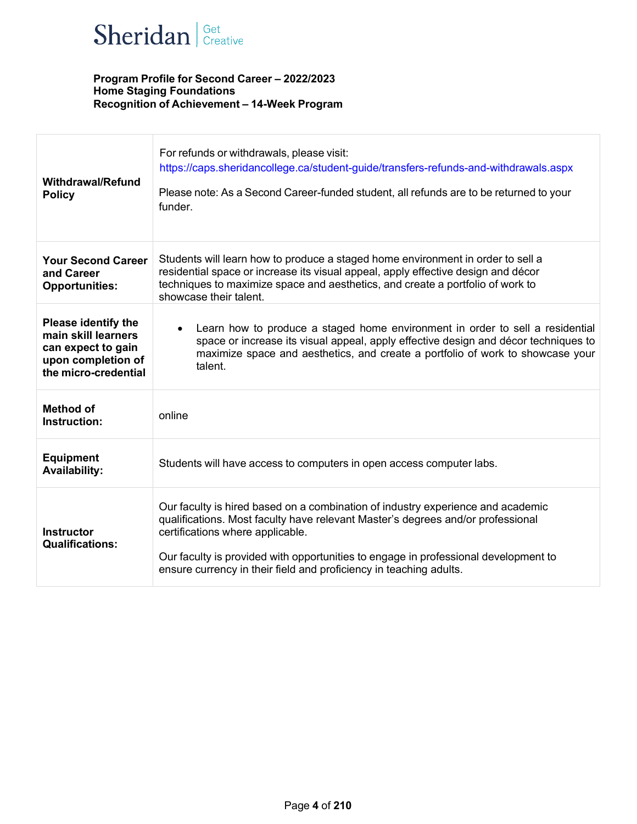

| <b>Withdrawal/Refund</b><br><b>Policy</b>                                                                             | For refunds or withdrawals, please visit:<br>https://caps.sheridancollege.ca/student-guide/transfers-refunds-and-withdrawals.aspx<br>Please note: As a Second Career-funded student, all refunds are to be returned to your<br>funder.                                                                                                                              |
|-----------------------------------------------------------------------------------------------------------------------|---------------------------------------------------------------------------------------------------------------------------------------------------------------------------------------------------------------------------------------------------------------------------------------------------------------------------------------------------------------------|
| <b>Your Second Career</b><br>and Career<br><b>Opportunities:</b>                                                      | Students will learn how to produce a staged home environment in order to sell a<br>residential space or increase its visual appeal, apply effective design and décor<br>techniques to maximize space and aesthetics, and create a portfolio of work to<br>showcase their talent.                                                                                    |
| <b>Please identify the</b><br>main skill learners<br>can expect to gain<br>upon completion of<br>the micro-credential | Learn how to produce a staged home environment in order to sell a residential<br>space or increase its visual appeal, apply effective design and décor techniques to<br>maximize space and aesthetics, and create a portfolio of work to showcase your<br>talent.                                                                                                   |
| <b>Method of</b><br>Instruction:                                                                                      | online                                                                                                                                                                                                                                                                                                                                                              |
| <b>Equipment</b><br><b>Availability:</b>                                                                              | Students will have access to computers in open access computer labs.                                                                                                                                                                                                                                                                                                |
| <b>Instructor</b><br><b>Qualifications:</b>                                                                           | Our faculty is hired based on a combination of industry experience and academic<br>qualifications. Most faculty have relevant Master's degrees and/or professional<br>certifications where applicable.<br>Our faculty is provided with opportunities to engage in professional development to<br>ensure currency in their field and proficiency in teaching adults. |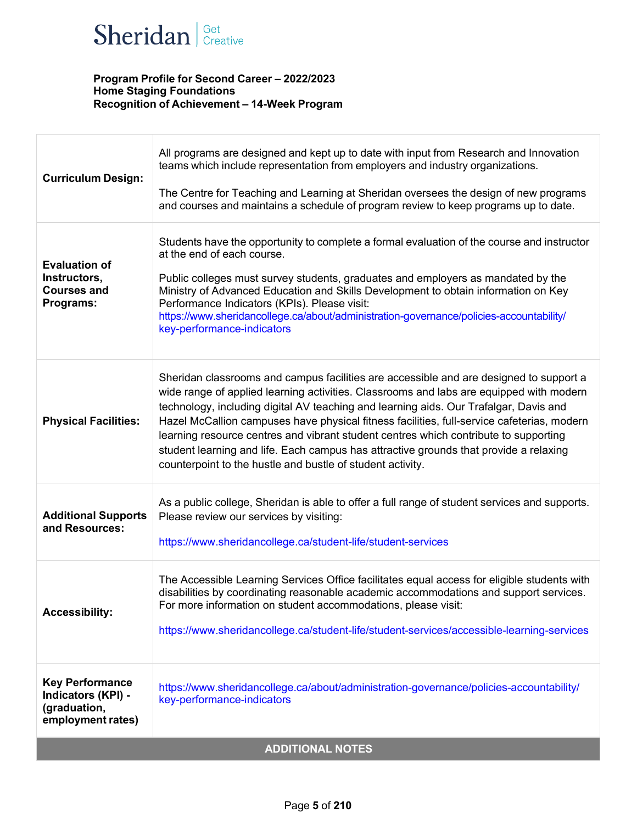# Sheridan | Get Creative

| <b>Curriculum Design:</b>                                                         | All programs are designed and kept up to date with input from Research and Innovation<br>teams which include representation from employers and industry organizations.<br>The Centre for Teaching and Learning at Sheridan oversees the design of new programs<br>and courses and maintains a schedule of program review to keep programs up to date.                                                                                                                                                                                                                                                                   |  |
|-----------------------------------------------------------------------------------|-------------------------------------------------------------------------------------------------------------------------------------------------------------------------------------------------------------------------------------------------------------------------------------------------------------------------------------------------------------------------------------------------------------------------------------------------------------------------------------------------------------------------------------------------------------------------------------------------------------------------|--|
| <b>Evaluation of</b><br>Instructors,<br><b>Courses and</b><br>Programs:           | Students have the opportunity to complete a formal evaluation of the course and instructor<br>at the end of each course.<br>Public colleges must survey students, graduates and employers as mandated by the<br>Ministry of Advanced Education and Skills Development to obtain information on Key<br>Performance Indicators (KPIs). Please visit:<br>https://www.sheridancollege.ca/about/administration-governance/policies-accountability/<br>key-performance-indicators                                                                                                                                             |  |
| <b>Physical Facilities:</b>                                                       | Sheridan classrooms and campus facilities are accessible and are designed to support a<br>wide range of applied learning activities. Classrooms and labs are equipped with modern<br>technology, including digital AV teaching and learning aids. Our Trafalgar, Davis and<br>Hazel McCallion campuses have physical fitness facilities, full-service cafeterias, modern<br>learning resource centres and vibrant student centres which contribute to supporting<br>student learning and life. Each campus has attractive grounds that provide a relaxing<br>counterpoint to the hustle and bustle of student activity. |  |
| <b>Additional Supports</b><br>and Resources:                                      | As a public college, Sheridan is able to offer a full range of student services and supports.<br>Please review our services by visiting:<br>https://www.sheridancollege.ca/student-life/student-services                                                                                                                                                                                                                                                                                                                                                                                                                |  |
| <b>Accessibility:</b>                                                             | The Accessible Learning Services Office facilitates equal access for eligible students with<br>disabilities by coordinating reasonable academic accommodations and support services.<br>For more information on student accommodations, please visit:<br>https://www.sheridancollege.ca/student-life/student-services/accessible-learning-services                                                                                                                                                                                                                                                                      |  |
| <b>Key Performance</b><br>Indicators (KPI) -<br>(graduation,<br>employment rates) | https://www.sheridancollege.ca/about/administration-governance/policies-accountability/<br>key-performance-indicators                                                                                                                                                                                                                                                                                                                                                                                                                                                                                                   |  |
| <b>ADDITIONAL NOTES</b>                                                           |                                                                                                                                                                                                                                                                                                                                                                                                                                                                                                                                                                                                                         |  |